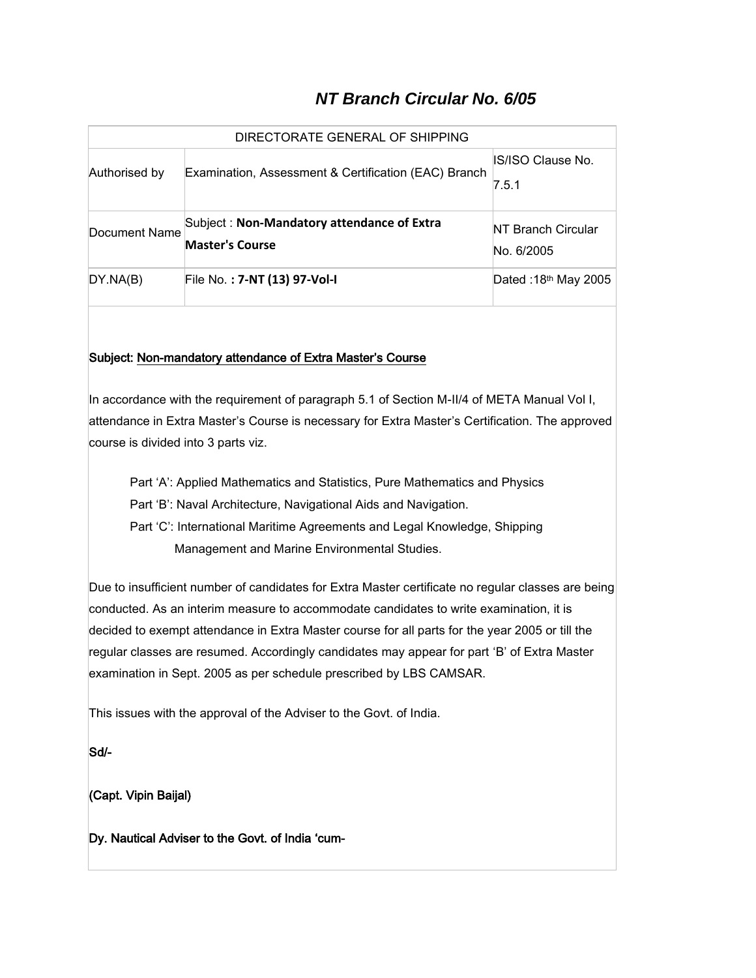## *NT Branch Circular No. 6/05*

| DIRECTORATE GENERAL OF SHIPPING |                                                                      |                                         |  |  |  |  |  |
|---------------------------------|----------------------------------------------------------------------|-----------------------------------------|--|--|--|--|--|
| Authorised by                   | Examination, Assessment & Certification (EAC) Branch                 | IS/ISO Clause No.<br>7.5.1              |  |  |  |  |  |
| Document Name                   | Subject: Non-Mandatory attendance of Extra<br><b>Master's Course</b> | <b>NT Branch Circular</b><br>No. 6/2005 |  |  |  |  |  |
| DY.NA(B)                        | File No.: 7-NT (13) 97-Vol-I                                         | Dated: 18th May 2005                    |  |  |  |  |  |

## Subject: Non-mandatory attendance of Extra Master's Course

In accordance with the requirement of paragraph 5.1 of Section M-II/4 of META Manual Vol I, attendance in Extra Master's Course is necessary for Extra Master's Certification. The approved course is divided into 3 parts viz.

Part 'A': Applied Mathematics and Statistics, Pure Mathematics and Physics

Part 'B': Naval Architecture, Navigational Aids and Navigation.

 Part 'C': International Maritime Agreements and Legal Knowledge, Shipping Management and Marine Environmental Studies.

Due to insufficient number of candidates for Extra Master certificate no regular classes are being conducted. As an interim measure to accommodate candidates to write examination, it is decided to exempt attendance in Extra Master course for all parts for the year 2005 or till the regular classes are resumed. Accordingly candidates may appear for part 'B' of Extra Master examination in Sept. 2005 as per schedule prescribed by LBS CAMSAR.

This issues with the approval of the Adviser to the Govt. of India.

Sd/-

(Capt. Vipin Baijal)

Dy. Nautical Adviser to the Govt. of India 'cum-